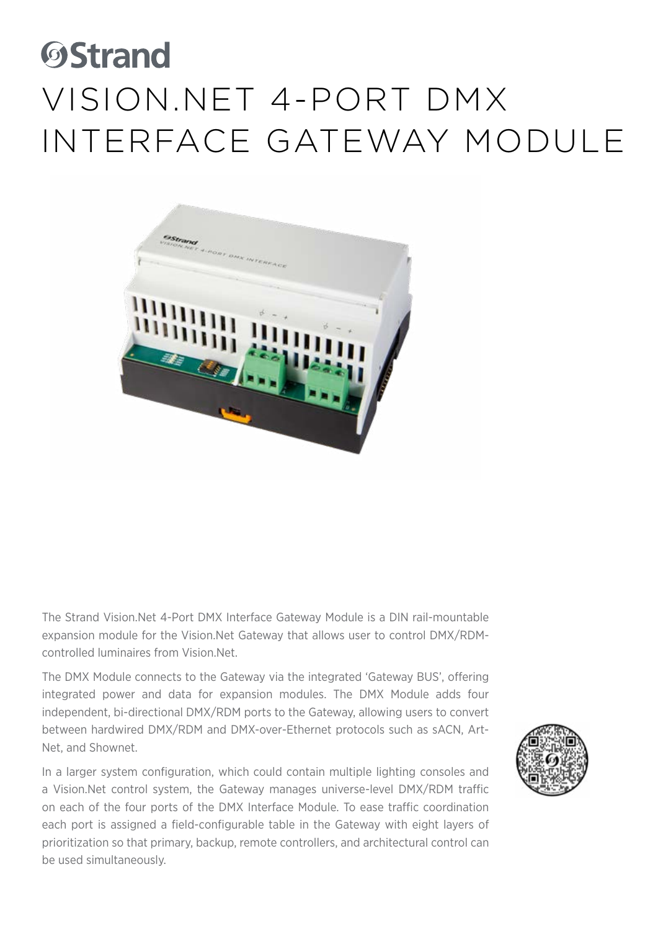# **OStrand** Vision.Net 4-Port DMX Interface Gateway Module



The Strand Vision.Net 4-Port DMX Interface Gateway Module is a DIN rail-mountable expansion module for the Vision.Net Gateway that allows user to control DMX/RDMcontrolled luminaires from Vision.Net.

The DMX Module connects to the Gateway via the integrated 'Gateway BUS', offering integrated power and data for expansion modules. The DMX Module adds four independent, bi-directional DMX/RDM ports to the Gateway, allowing users to convert between hardwired DMX/RDM and DMX-over-Ethernet protocols such as sACN, Art-Net, and Shownet.

In a larger system configuration, which could contain multiple lighting consoles and a Vision.Net control system, the Gateway manages universe-level DMX/RDM traffic on each of the four ports of the DMX Interface Module. To ease traffic coordination each port is assigned a field-configurable table in the Gateway with eight layers of prioritization so that primary, backup, remote controllers, and architectural control can be used simultaneously.

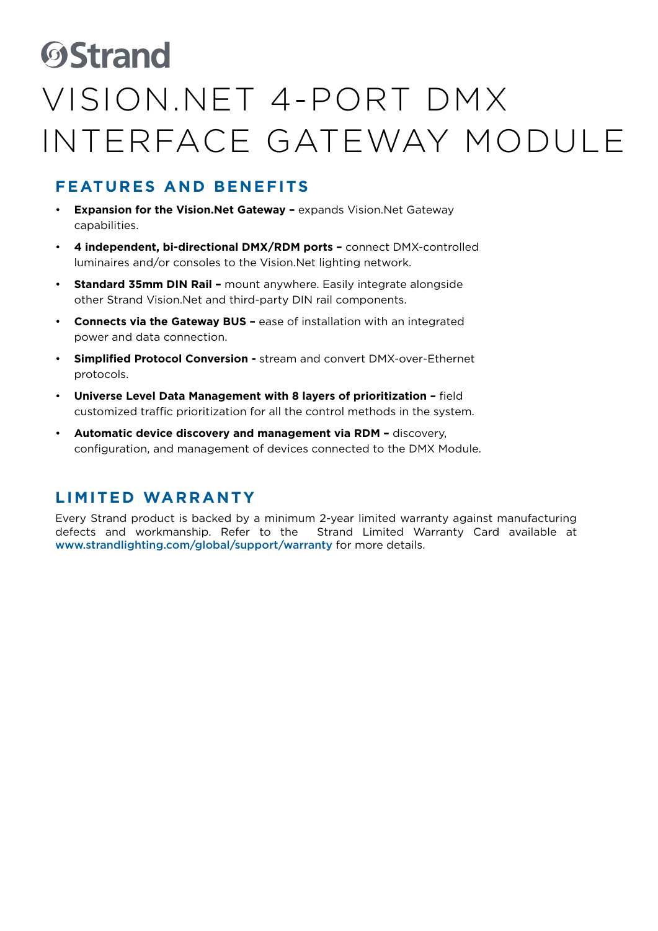### **ØStrand**

### Vision.Net 4-Port DMX Interface Gateway Module

### **FEATURES AND BENEFITS**

- **Expansion for the Vision.Net Gateway expands Vision.Net Gateway** capabilities.
- **4 independent, bi-directional DMX/RDM ports** connect DMX-controlled luminaires and/or consoles to the Vision.Net lighting network.
- **Standard 35mm DIN Rail** mount anywhere. Easily integrate alongside other Strand Vision.Net and third-party DIN rail components.
- **Connects via the Gateway BUS** ease of installation with an integrated power and data connection.
- **Simplified Protocol Conversion** stream and convert DMX-over-Ethernet protocols.
- **Universe Level Data Management with 8 layers of prioritization –** field customized traffic prioritization for all the control methods in the system.
- **Automatic device discovery and management via RDM** discovery, configuration, and management of devices connected to the DMX Module.

#### **LIMITED WARRANTY**

Every Strand product is backed by a minimum 2-year limited warranty against manufacturing defects and workmanship. Refer to the Strand Limited Warranty Card available at www.strandlighting.com/global/support/warranty for more details.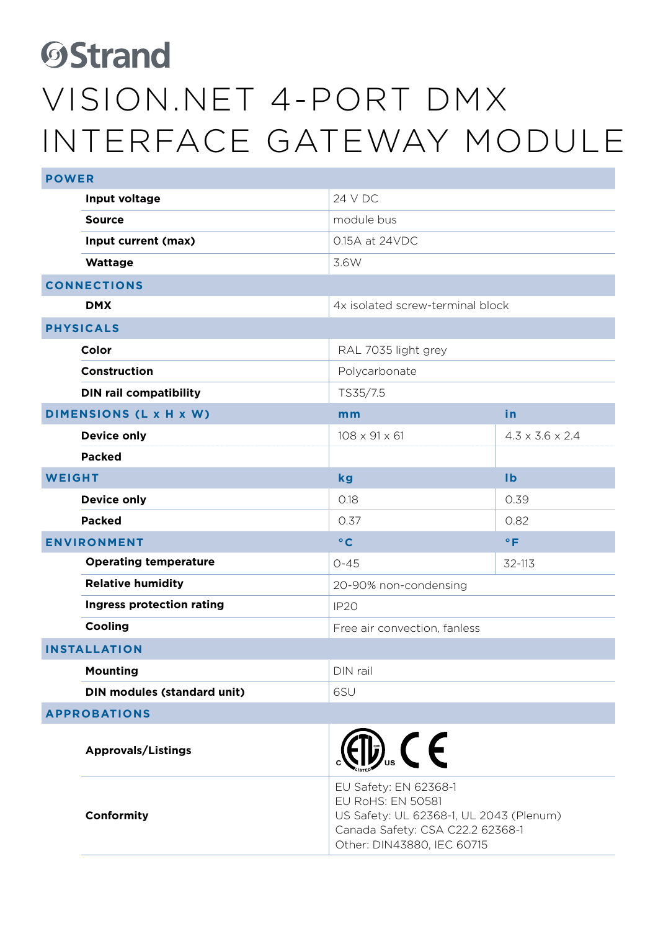## **ØStrand** Vision.Net 4-Port DMX Interface Gateway Module

| <b>POWER</b>        |                                    |                                                                                                                                                                |                             |  |
|---------------------|------------------------------------|----------------------------------------------------------------------------------------------------------------------------------------------------------------|-----------------------------|--|
|                     | Input voltage                      | 24 V DC                                                                                                                                                        |                             |  |
|                     | <b>Source</b>                      | module bus                                                                                                                                                     |                             |  |
|                     | Input current (max)                | 0.15A at 24VDC                                                                                                                                                 |                             |  |
|                     | Wattage                            | 3.6W                                                                                                                                                           |                             |  |
| <b>CONNECTIONS</b>  |                                    |                                                                                                                                                                |                             |  |
|                     | <b>DMX</b>                         | 4x isolated screw-terminal block                                                                                                                               |                             |  |
| <b>PHYSICALS</b>    |                                    |                                                                                                                                                                |                             |  |
|                     | Color                              | RAL 7035 light grey                                                                                                                                            |                             |  |
|                     | Construction                       | Polycarbonate                                                                                                                                                  |                             |  |
|                     | <b>DIN rail compatibility</b>      | TS35/7.5                                                                                                                                                       |                             |  |
|                     | DIMENSIONS (L x H x W)             | mm                                                                                                                                                             | in                          |  |
|                     | <b>Device only</b>                 | $108 \times 91 \times 61$                                                                                                                                      | $4.3 \times 3.6 \times 2.4$ |  |
|                     | <b>Packed</b>                      |                                                                                                                                                                |                             |  |
| <b>WEIGHT</b>       |                                    | kg                                                                                                                                                             | Ib                          |  |
|                     | <b>Device only</b>                 | 0.18                                                                                                                                                           | 0.39                        |  |
|                     | <b>Packed</b>                      | 0.37                                                                                                                                                           | 0.82                        |  |
| <b>ENVIRONMENT</b>  |                                    | $\circ$ C                                                                                                                                                      | $\circ$ F                   |  |
|                     | <b>Operating temperature</b>       | $0 - 45$                                                                                                                                                       | 32-113                      |  |
|                     | <b>Relative humidity</b>           | 20-90% non-condensing                                                                                                                                          |                             |  |
|                     | Ingress protection rating          | IP <sub>20</sub>                                                                                                                                               |                             |  |
|                     | Cooling                            | Free air convection, fanless                                                                                                                                   |                             |  |
| <b>INSTALLATION</b> |                                    |                                                                                                                                                                |                             |  |
|                     | <b>Mounting</b>                    | DIN rail                                                                                                                                                       |                             |  |
|                     | <b>DIN modules (standard unit)</b> | 6SU                                                                                                                                                            |                             |  |
| <b>APPROBATIONS</b> |                                    |                                                                                                                                                                |                             |  |
|                     | <b>Approvals/Listings</b>          | $\bigoplus$ <sub>s</sub> $\bigoplus$ s $\bigoplus$                                                                                                             |                             |  |
|                     | Conformity                         | EU Safety: EN 62368-1<br><b>EU RoHS: EN 50581</b><br>US Safety: UL 62368-1, UL 2043 (Plenum)<br>Canada Safety: CSA C22.2 62368-1<br>Other: DIN43880, IEC 60715 |                             |  |